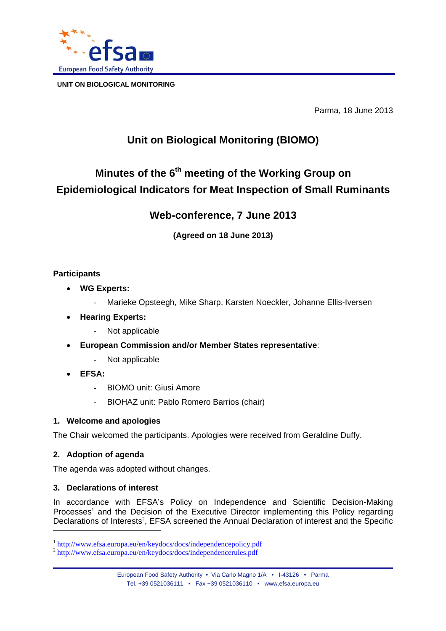

Parma, 18 June 2013

## **Unit on Biological Monitoring (BIOMO)**

# **Minutes of the 6th meeting of the Working Group on Epidemiological Indicators for Meat Inspection of Small Ruminants**

## **Web-conference, 7 June 2013**

**(Agreed on 18 June 2013)** 

## **Participants**

- **WG Experts:**
	- Marieke Opsteegh, Mike Sharp, Karsten Noeckler, Johanne Ellis-Iversen
- **Hearing Experts:**
	- Not applicable
- **European Commission and/or Member States representative**:
	- Not applicable
- **EFSA:**
	- BIOMO unit: Giusi Amore
	- BIOHAZ unit: Pablo Romero Barrios (chair)

## **1. Welcome and apologies**

The Chair welcomed the participants. Apologies were received from Geraldine Duffy.

## **2. Adoption of agenda**

The agenda was adopted without changes.

## **3. Declarations of interest**

In accordance with EFSA's Policy on Independence and Scientific Decision-Making Processes<sup>1</sup> and the Decision of the Executive Director implementing this Policy regarding Declarations of Interests<sup>2</sup>, EFSA screened the Annual Declaration of interest and the Specific l

<sup>1</sup> http://www.efsa.europa.eu/en/keydocs/docs/independencepolicy.pdf <sup>2</sup> http://www.efsa.europa.eu/en/keydocs/docs/independencerules.pdf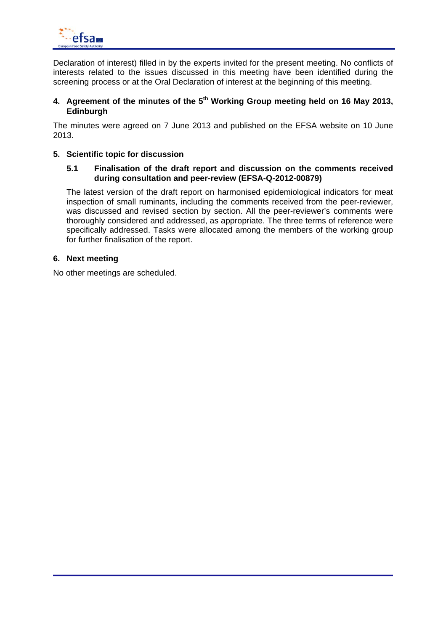

Declaration of interest) filled in by the experts invited for the present meeting. No conflicts of interests related to the issues discussed in this meeting have been identified during the screening process or at the Oral Declaration of interest at the beginning of this meeting.

## **4. Agreement of the minutes of the 5th Working Group meeting held on 16 May 2013, Edinburgh**

The minutes were agreed on 7 June 2013 and published on the EFSA website on 10 June 2013.

#### **5. Scientific topic for discussion**

#### **5.1 Finalisation of the draft report and discussion on the comments received during consultation and peer-review (EFSA-Q-2012-00879)**

The latest version of the draft report on harmonised epidemiological indicators for meat inspection of small ruminants, including the comments received from the peer-reviewer, was discussed and revised section by section. All the peer-reviewer's comments were thoroughly considered and addressed, as appropriate. The three terms of reference were specifically addressed. Tasks were allocated among the members of the working group for further finalisation of the report.

#### **6. Next meeting**

No other meetings are scheduled.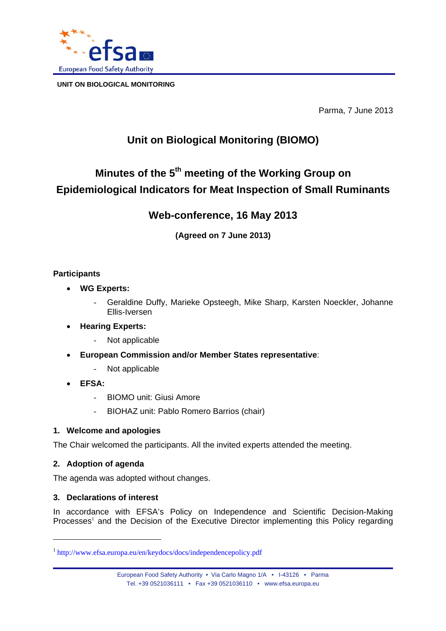

Parma, 7 June 2013

## **Unit on Biological Monitoring (BIOMO)**

# **Minutes of the 5th meeting of the Working Group on Epidemiological Indicators for Meat Inspection of Small Ruminants**

## **Web-conference, 16 May 2013**

**(Agreed on 7 June 2013)** 

## **Participants**

- **WG Experts:**
	- Geraldine Duffy, Marieke Opsteegh, Mike Sharp, Karsten Noeckler, Johanne Ellis-Iversen
- **Hearing Experts:**
	- Not applicable
- **European Commission and/or Member States representative**:
	- Not applicable
- **EFSA:**
	- BIOMO unit: Giusi Amore
	- BIOHAZ unit: Pablo Romero Barrios (chair)

## **1. Welcome and apologies**

The Chair welcomed the participants. All the invited experts attended the meeting.

## **2. Adoption of agenda**

l

The agenda was adopted without changes.

## **3. Declarations of interest**

In accordance with EFSA's Policy on Independence and Scientific Decision-Making Processes<sup>1</sup> and the Decision of the Executive Director implementing this Policy regarding

<sup>1</sup> http://www.efsa.europa.eu/en/keydocs/docs/independencepolicy.pdf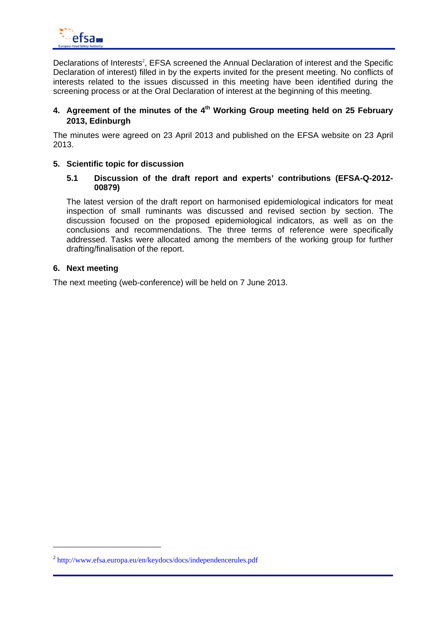

Declarations of Interests<sup>2</sup>, EFSA screened the Annual Declaration of interest and the Specific Declaration of interest) filled in by the experts invited for the present meeting. No conflicts of interests related to the issues discussed in this meeting have been identified during the screening process or at the Oral Declaration of interest at the beginning of this meeting.

### 4. Agreement of the minutes of the 4<sup>th</sup> Working Group meeting held on 25 February **2013, Edinburgh**

The minutes were agreed on 23 April 2013 and published on the EFSA website on 23 April 2013.

#### **5. Scientific topic for discussion**

#### **5.1 Discussion of the draft report and experts' contributions (EFSA-Q-2012- 00879)**

The latest version of the draft report on harmonised epidemiological indicators for meat inspection of small ruminants was discussed and revised section by section. The discussion focused on the proposed epidemiological indicators, as well as on the conclusions and recommendations. The three terms of reference were specifically addressed. Tasks were allocated among the members of the working group for further drafting/finalisation of the report.

#### **6. Next meeting**

The next meeting (web-conference) will be held on 7 June 2013.

<sup>2</sup> http://www.efsa.europa.eu/en/keydocs/docs/independencerules.pdf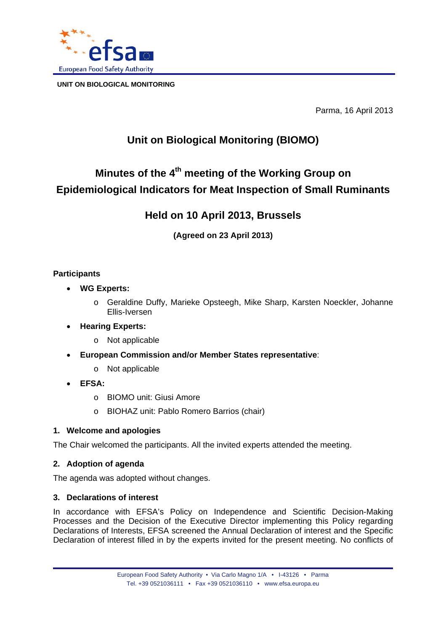

Parma, 16 April 2013

## **Unit on Biological Monitoring (BIOMO)**

# **Minutes of the 4th meeting of the Working Group on Epidemiological Indicators for Meat Inspection of Small Ruminants**

## **Held on 10 April 2013, Brussels**

**(Agreed on 23 April 2013)** 

## **Participants**

- **WG Experts:**
	- o Geraldine Duffy, Marieke Opsteegh, Mike Sharp, Karsten Noeckler, Johanne Ellis-Iversen
- **Hearing Experts:**
	- o Not applicable
- **European Commission and/or Member States representative**:
	- o Not applicable
- **EFSA:**
	- o BIOMO unit: Giusi Amore
	- o BIOHAZ unit: Pablo Romero Barrios (chair)

## **1. Welcome and apologies**

The Chair welcomed the participants. All the invited experts attended the meeting.

## **2. Adoption of agenda**

The agenda was adopted without changes.

## **3. Declarations of interest**

In accordance with EFSA's Policy on Independence and Scientific Decision-Making Processes and the Decision of the Executive Director implementing this Policy regarding Declarations of Interests, EFSA screened the Annual Declaration of interest and the Specific Declaration of interest filled in by the experts invited for the present meeting. No conflicts of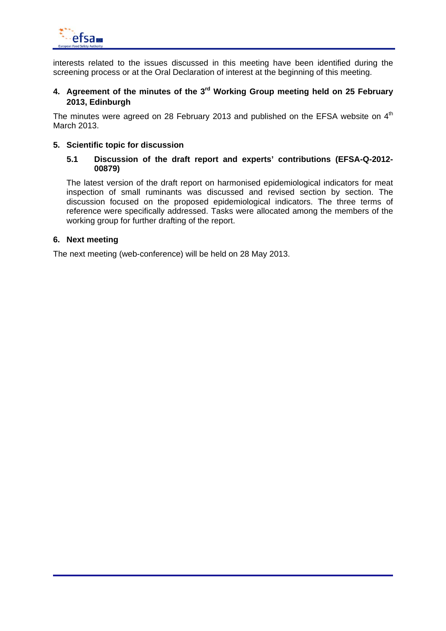

interests related to the issues discussed in this meeting have been identified during the screening process or at the Oral Declaration of interest at the beginning of this meeting.

## **4. Agreement of the minutes of the 3rd Working Group meeting held on 25 February 2013, Edinburgh**

The minutes were agreed on 28 February 2013 and published on the EFSA website on  $4<sup>th</sup>$ March 2013.

#### **5. Scientific topic for discussion**

#### **5.1 Discussion of the draft report and experts' contributions (EFSA-Q-2012- 00879)**

The latest version of the draft report on harmonised epidemiological indicators for meat inspection of small ruminants was discussed and revised section by section. The discussion focused on the proposed epidemiological indicators. The three terms of reference were specifically addressed. Tasks were allocated among the members of the working group for further drafting of the report.

#### **6. Next meeting**

The next meeting (web-conference) will be held on 28 May 2013.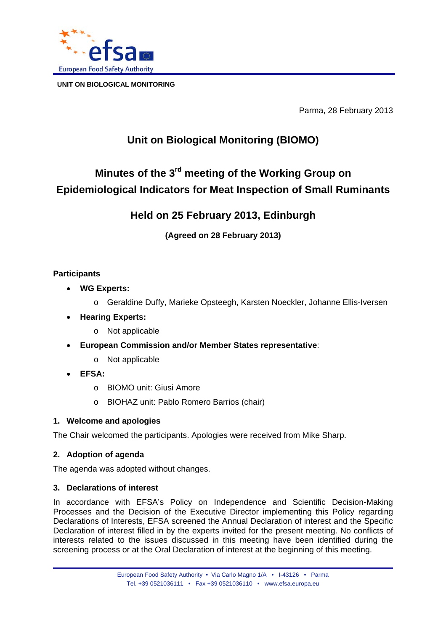

Parma, 28 February 2013

## **Unit on Biological Monitoring (BIOMO)**

# **Minutes of the 3rd meeting of the Working Group on Epidemiological Indicators for Meat Inspection of Small Ruminants**

## **Held on 25 February 2013, Edinburgh**

**(Agreed on 28 February 2013)** 

## **Participants**

- **WG Experts:**
	- o Geraldine Duffy, Marieke Opsteegh, Karsten Noeckler, Johanne Ellis-Iversen
- **Hearing Experts:**
	- o Not applicable
- **European Commission and/or Member States representative**:
	- o Not applicable
- **EFSA:**
	- o BIOMO unit: Giusi Amore
	- o BIOHAZ unit: Pablo Romero Barrios (chair)

## **1. Welcome and apologies**

The Chair welcomed the participants. Apologies were received from Mike Sharp.

## **2. Adoption of agenda**

The agenda was adopted without changes.

## **3. Declarations of interest**

In accordance with EFSA's Policy on Independence and Scientific Decision-Making Processes and the Decision of the Executive Director implementing this Policy regarding Declarations of Interests, EFSA screened the Annual Declaration of interest and the Specific Declaration of interest filled in by the experts invited for the present meeting. No conflicts of interests related to the issues discussed in this meeting have been identified during the screening process or at the Oral Declaration of interest at the beginning of this meeting.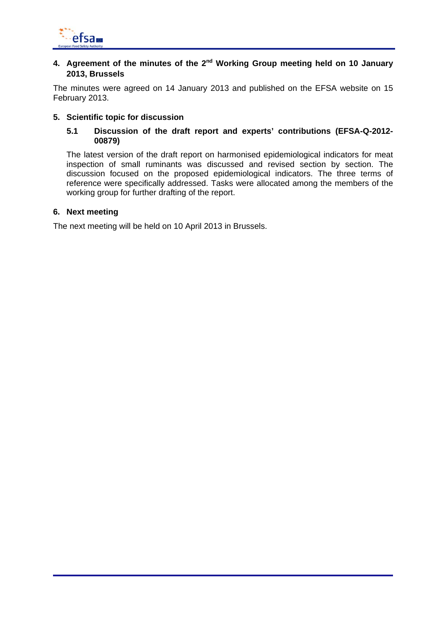

## **4. Agreement of the minutes of the 2nd Working Group meeting held on 10 January 2013, Brussels**

The minutes were agreed on 14 January 2013 and published on the EFSA website on 15 February 2013.

#### **5. Scientific topic for discussion**

#### **5.1 Discussion of the draft report and experts' contributions (EFSA-Q-2012- 00879)**

The latest version of the draft report on harmonised epidemiological indicators for meat inspection of small ruminants was discussed and revised section by section. The discussion focused on the proposed epidemiological indicators. The three terms of reference were specifically addressed. Tasks were allocated among the members of the working group for further drafting of the report.

#### **6. Next meeting**

The next meeting will be held on 10 April 2013 in Brussels.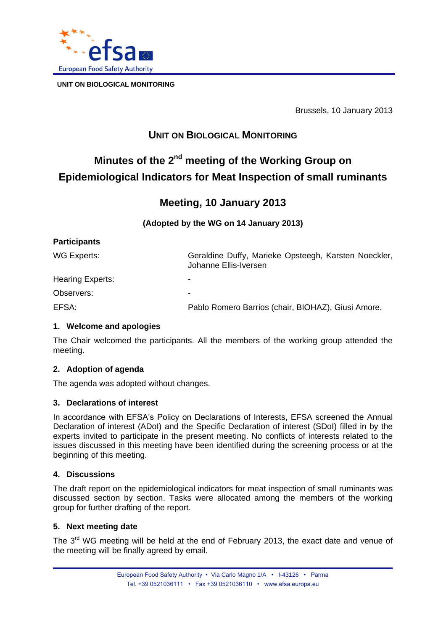

Brussels, 10 January 2013

## **UNIT ON BIOLOGICAL MONITORING**

# **Minutes of the 2<sup>nd</sup> meeting of the Working Group on Epidemiological Indicators for Meat Inspection of small ruminants**

## **Meeting, 10 January 2013**

**(Adopted by the WG on 14 January 2013)** 

| <b>Participants</b>     |                                                                               |
|-------------------------|-------------------------------------------------------------------------------|
| WG Experts:             | Geraldine Duffy, Marieke Opsteegh, Karsten Noeckler,<br>Johanne Ellis-Iversen |
| <b>Hearing Experts:</b> | $\overline{\phantom{0}}$                                                      |
| Observers:              |                                                                               |
| EFSA:                   | Pablo Romero Barrios (chair, BIOHAZ), Giusi Amore.                            |

## **1. Welcome and apologies**

The Chair welcomed the participants. All the members of the working group attended the meeting.

## **2. Adoption of agenda**

The agenda was adopted without changes.

#### **3. Declarations of interest**

In accordance with EFSA's Policy on Declarations of Interests, EFSA screened the Annual Declaration of interest (ADoI) and the Specific Declaration of interest (SDoI) filled in by the experts invited to participate in the present meeting. No conflicts of interests related to the issues discussed in this meeting have been identified during the screening process or at the beginning of this meeting.

#### **4. Discussions**

The draft report on the epidemiological indicators for meat inspection of small ruminants was discussed section by section. Tasks were allocated among the members of the working group for further drafting of the report.

#### **5. Next meeting date**

The  $3<sup>rd</sup>$  WG meeting will be held at the end of February 2013, the exact date and venue of the meeting will be finally agreed by email.